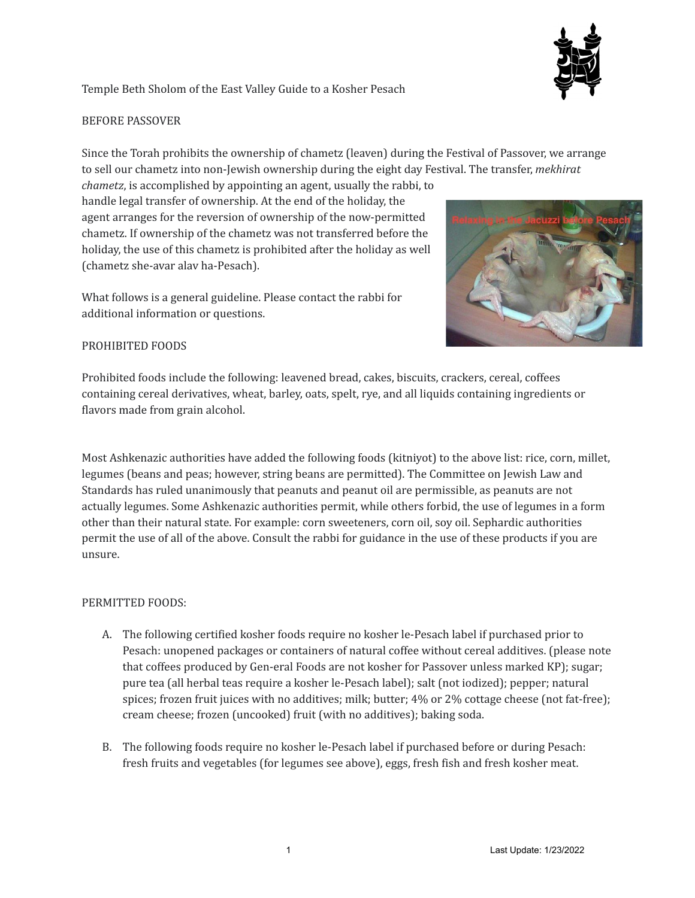

## Temple Beth Sholom of the East Valley Guide to a Kosher Pesach

## BEFORE PASSOVER

Since the Torah prohibits the ownership of chametz (leaven) during the Festival of Passover, we arrange to sell our chametz into non-Jewish ownership during the eight day Festival. The transfer, *mekhirat*

*chametz*, is accomplished by appointing an agent, usually the rabbi, to handle legal transfer of ownership. At the end of the holiday, the agent arranges for the reversion of ownership of the now-permitted chametz. If ownership of the chametz was not transferred before the holiday, the use of this chametz is prohibited after the holiday as well (chametz she-avar alav ha-Pesach).

What follows is a general guideline. Please contact the rabbi for additional information or questions.

## PROHIBITED FOODS

Prohibited foods include the following: leavened bread, cakes, biscuits, crackers, cereal, coffees containing cereal derivatives, wheat, barley, oats, spelt, rye, and all liquids containing ingredients or flavors made from grain alcohol.

Most Ashkenazic authorities have added the following foods (kitniyot) to the above list: rice, corn, millet, legumes (beans and peas; however, string beans are permitted). The Committee on Jewish Law and Standards has ruled unanimously that peanuts and peanut oil are permissible, as peanuts are not actually legumes. Some Ashkenazic authorities permit, while others forbid, the use of legumes in a form other than their natural state. For example: corn sweeteners, corn oil, soy oil. Sephardic authorities permit the use of all of the above. Consult the rabbi for guidance in the use of these products if you are unsure.

## PERMITTED FOODS:

- A. The following certified kosher foods require no kosher le-Pesach label if purchased prior to Pesach: unopened packages or containers of natural coffee without cereal additives. (please note that coffees produced by Gen-eral Foods are not kosher for Passover unless marked KP); sugar; pure tea (all herbal teas require a kosher le-Pesach label); salt (not iodized); pepper; natural spices; frozen fruit juices with no additives; milk; butter; 4% or 2% cottage cheese (not fat-free); cream cheese; frozen (uncooked) fruit (with no additives); baking soda.
- B. The following foods require no kosher le-Pesach label if purchased before or during Pesach: fresh fruits and vegetables (for legumes see above), eggs, fresh fish and fresh kosher meat.





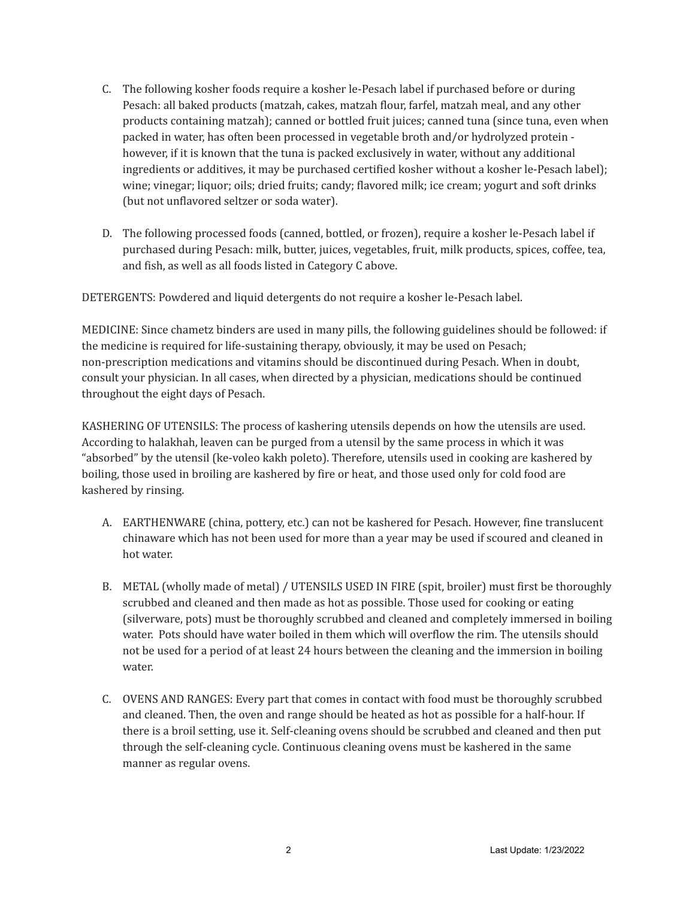- C. The following kosher foods require a kosher le-Pesach label if purchased before or during Pesach: all baked products (matzah, cakes, matzah flour, farfel, matzah meal, and any other products containing matzah); canned or bottled fruit juices; canned tuna (since tuna, even when packed in water, has often been processed in vegetable broth and/or hydrolyzed protein however, if it is known that the tuna is packed exclusively in water, without any additional ingredients or additives, it may be purchased certified kosher without a kosher le-Pesach label); wine; vinegar; liquor; oils; dried fruits; candy; flavored milk; ice cream; yogurt and soft drinks (but not unflavored seltzer or soda water).
- D. The following processed foods (canned, bottled, or frozen), require a kosher le-Pesach label if purchased during Pesach: milk, butter, juices, vegetables, fruit, milk products, spices, coffee, tea, and fish, as well as all foods listed in Category C above.

DETERGENTS: Powdered and liquid detergents do not require a kosher le-Pesach label.

MEDICINE: Since chametz binders are used in many pills, the following guidelines should be followed: if the medicine is required for life-sustaining therapy, obviously, it may be used on Pesach; non-prescription medications and vitamins should be discontinued during Pesach. When in doubt, consult your physician. In all cases, when directed by a physician, medications should be continued throughout the eight days of Pesach.

KASHERING OF UTENSILS: The process of kashering utensils depends on how the utensils are used. According to halakhah, leaven can be purged from a utensil by the same process in which it was "absorbed" by the utensil (ke-voleo kakh poleto). Therefore, utensils used in cooking are kashered by boiling, those used in broiling are kashered by fire or heat, and those used only for cold food are kashered by rinsing.

- A. EARTHENWARE (china, pottery, etc.) can not be kashered for Pesach. However, fine translucent chinaware which has not been used for more than a year may be used if scoured and cleaned in hot water.
- B. METAL (wholly made of metal) / UTENSILS USED IN FIRE (spit, broiler) must first be thoroughly scrubbed and cleaned and then made as hot as possible. Those used for cooking or eating (silverware, pots) must be thoroughly scrubbed and cleaned and completely immersed in boiling water. Pots should have water boiled in them which will overflow the rim. The utensils should not be used for a period of at least 24 hours between the cleaning and the immersion in boiling water.
- C. OVENS AND RANGES: Every part that comes in contact with food must be thoroughly scrubbed and cleaned. Then, the oven and range should be heated as hot as possible for a half-hour. If there is a broil setting, use it. Self-cleaning ovens should be scrubbed and cleaned and then put through the self-cleaning cycle. Continuous cleaning ovens must be kashered in the same manner as regular ovens.